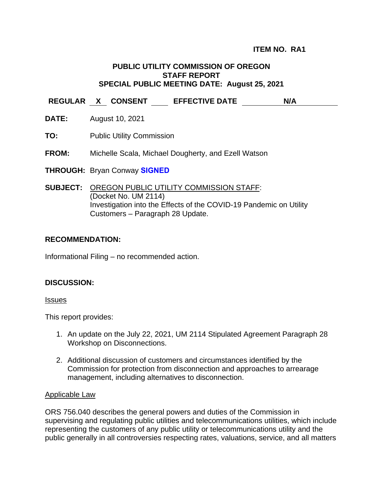# **PUBLIC UTILITY COMMISSION OF OREGON STAFF REPORT SPECIAL PUBLIC MEETING DATE: August 25, 2021**

**REGULAR X CONSENT EFFECTIVE DATE N/A**

- **DATE:** August 10, 2021
- **TO:** Public Utility Commission

### **FROM:** Michelle Scala, Michael Dougherty, and Ezell Watson

**THROUGH:** Bryan Conway **SIGNED**

**SUBJECT:** OREGON PUBLIC UTILITY COMMISSION STAFF: (Docket No. UM 2114) Investigation into the Effects of the COVID-19 Pandemic on Utility Customers – Paragraph 28 Update.

# **RECOMMENDATION:**

Informational Filing – no recommended action.

### **DISCUSSION:**

#### Issues

This report provides:

- 1. An update on the July 22, 2021, UM 2114 Stipulated Agreement Paragraph 28 Workshop on Disconnections.
- 2. Additional discussion of customers and circumstances identified by the Commission for protection from disconnection and approaches to arrearage management, including alternatives to disconnection.

#### Applicable Law

ORS 756.040 describes the general powers and duties of the Commission in supervising and regulating public utilities and telecommunications utilities, which include representing the customers of any public utility or telecommunications utility and the public generally in all controversies respecting rates, valuations, service, and all matters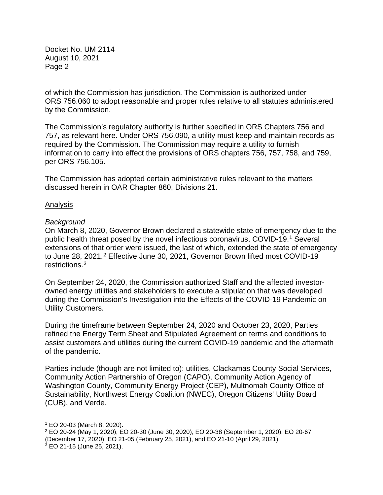of which the Commission has jurisdiction. The Commission is authorized under ORS 756.060 to adopt reasonable and proper rules relative to all statutes administered by the Commission.

The Commission's regulatory authority is further specified in ORS Chapters 756 and 757, as relevant here. Under ORS 756.090, a utility must keep and maintain records as required by the Commission. The Commission may require a utility to furnish information to carry into effect the provisions of ORS chapters 756, 757, 758, and 759, per ORS 756.105.

The Commission has adopted certain administrative rules relevant to the matters discussed herein in OAR Chapter 860, Divisions 21.

# Analysis

# *Background*

On March 8, 2020, Governor Brown declared a statewide state of emergency due to the public health threat posed by the novel infectious coronavirus, COVID-19. [1](#page-1-0) Several extensions of that order were issued, the last of which, extended the state of emergency to June 28, 2021. [2](#page-1-1) Effective June 30, 2021, Governor Brown lifted most COVID-19 restrictions.[3](#page-1-2)

On September 24, 2020, the Commission authorized Staff and the affected investorowned energy utilities and stakeholders to execute a stipulation that was developed during the Commission's Investigation into the Effects of the COVID-19 Pandemic on Utility Customers.

During the timeframe between September 24, 2020 and October 23, 2020, Parties refined the Energy Term Sheet and Stipulated Agreement on terms and conditions to assist customers and utilities during the current COVID-19 pandemic and the aftermath of the pandemic.

Parties include (though are not limited to): utilities, Clackamas County Social Services, Community Action Partnership of Oregon (CAPO), Community Action Agency of Washington County, Community Energy Project (CEP), Multnomah County Office of Sustainability, Northwest Energy Coalition (NWEC), Oregon Citizens' Utility Board (CUB), and Verde.

<span id="page-1-0"></span> <sup>1</sup> EO 20-03 (March 8, 2020).

<span id="page-1-1"></span><sup>2</sup> EO 20-24 (May 1, 2020); EO 20-30 (June 30, 2020); EO 20-38 (September 1, 2020); EO 20-67 (December 17, 2020), EO 21-05 (February 25, 2021), and EO 21-10 (April 29, 2021).

<span id="page-1-2"></span> $3$  EO 21-15 (June 25, 2021).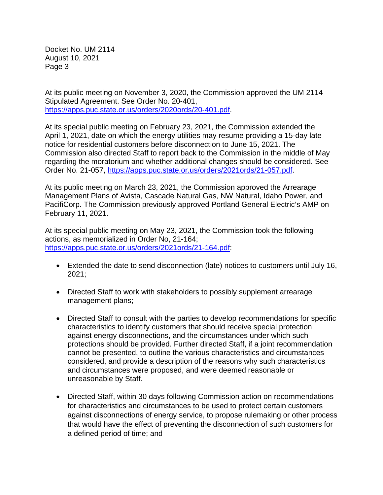At its public meeting on November 3, 2020, the Commission approved the UM 2114 Stipulated Agreement. See Order No. 20-401, [https://apps.puc.state.or.us/orders/2020ords/20-401.pdf.](https://apps.puc.state.or.us/orders/2020ords/20-401.pdf)

At its special public meeting on February 23, 2021, the Commission extended the April 1, 2021, date on which the energy utilities may resume providing a 15-day late notice for residential customers before disconnection to June 15, 2021. The Commission also directed Staff to report back to the Commission in the middle of May regarding the moratorium and whether additional changes should be considered. See Order No. 21-057, [https://apps.puc.state.or.us/orders/2021ords/21-057.pdf.](https://apps.puc.state.or.us/orders/2021ords/21-057.pdf)

At its public meeting on March 23, 2021, the Commission approved the Arrearage Management Plans of Avista, Cascade Natural Gas, NW Natural, Idaho Power, and PacifiCorp. The Commission previously approved Portland General Electric's AMP on February 11, 2021.

At its special public meeting on May 23, 2021, the Commission took the following actions, as memorialized in Order No, 21-164; [https://apps.puc.state.or.us/orders/2021ords/21-164.pdf:](https://apps.puc.state.or.us/orders/2021ords/21-164.pdf)

- Extended the date to send disconnection (late) notices to customers until July 16, 2021;
- Directed Staff to work with stakeholders to possibly supplement arrearage management plans;
- Directed Staff to consult with the parties to develop recommendations for specific characteristics to identify customers that should receive special protection against energy disconnections, and the circumstances under which such protections should be provided. Further directed Staff, if a joint recommendation cannot be presented, to outline the various characteristics and circumstances considered, and provide a description of the reasons why such characteristics and circumstances were proposed, and were deemed reasonable or unreasonable by Staff.
- Directed Staff, within 30 days following Commission action on recommendations for characteristics and circumstances to be used to protect certain customers against disconnections of energy service, to propose rulemaking or other process that would have the effect of preventing the disconnection of such customers for a defined period of time; and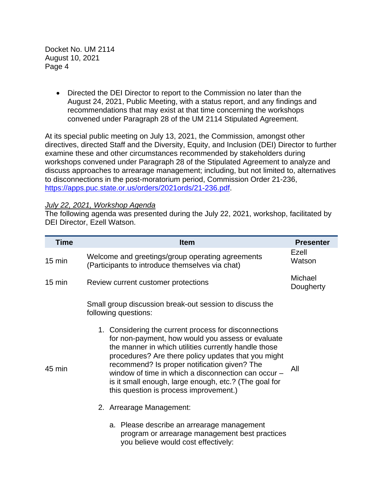> • Directed the DEI Director to report to the Commission no later than the August 24, 2021, Public Meeting, with a status report, and any findings and recommendations that may exist at that time concerning the workshops convened under Paragraph 28 of the UM 2114 Stipulated Agreement.

At its special public meeting on July 13, 2021, the Commission, amongst other directives, directed Staff and the Diversity, Equity, and Inclusion (DEI) Director to further examine these and other circumstances recommended by stakeholders during workshops convened under Paragraph 28 of the Stipulated Agreement to analyze and discuss approaches to arrearage management; including, but not limited to, alternatives to disconnections in the post-moratorium period, Commission Order 21-236, [https://apps.puc.state.or.us/orders/2021ords/21-236.pdf.](https://apps.puc.state.or.us/orders/2021ords/21-236.pdf)

### *July 22, 2021, Workshop Agenda*

The following agenda was presented during the July 22, 2021, workshop, facilitated by DEI Director, Ezell Watson.

| <b>Time</b>      | <b>Item</b>                                                                                                                                                                                                                                                                                                                                                                                                                         | <b>Presenter</b>     |
|------------------|-------------------------------------------------------------------------------------------------------------------------------------------------------------------------------------------------------------------------------------------------------------------------------------------------------------------------------------------------------------------------------------------------------------------------------------|----------------------|
| $15 \text{ min}$ | Welcome and greetings/group operating agreements<br>(Participants to introduce themselves via chat)                                                                                                                                                                                                                                                                                                                                 | Ezell<br>Watson      |
| $15 \text{ min}$ | Review current customer protections                                                                                                                                                                                                                                                                                                                                                                                                 | Michael<br>Dougherty |
|                  | Small group discussion break-out session to discuss the<br>following questions:                                                                                                                                                                                                                                                                                                                                                     |                      |
| 45 min           | 1. Considering the current process for disconnections<br>for non-payment, how would you assess or evaluate<br>the manner in which utilities currently handle those<br>procedures? Are there policy updates that you might<br>recommend? Is proper notification given? The<br>window of time in which a disconnection can occur -<br>is it small enough, large enough, etc.? (The goal for<br>this question is process improvement.) | All                  |
|                  | 2. Arrearage Management:                                                                                                                                                                                                                                                                                                                                                                                                            |                      |
|                  | a. Please describe an arrearage management<br>program or arrearage management best practices<br>you believe would cost effectively:                                                                                                                                                                                                                                                                                                 |                      |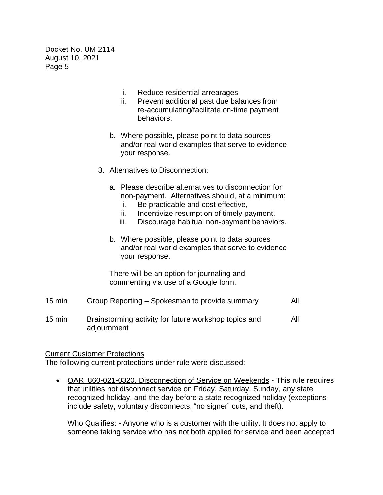- i. Reduce residential arrearages
- ii. Prevent additional past due balances from re-accumulating/facilitate on-time payment behaviors.
- b. Where possible, please point to data sources and/or real-world examples that serve to evidence your response.
- 3. Alternatives to Disconnection:
	- a. Please describe alternatives to disconnection for non-payment. Alternatives should, at a minimum:
		- i. Be practicable and cost effective,
		- ii. Incentivize resumption of timely payment,
		- iii. Discourage habitual non-payment behaviors.
	- b. Where possible, please point to data sources and/or real-world examples that serve to evidence your response.

There will be an option for journaling and commenting via use of a Google form.

- 15 min Group Reporting Spokesman to provide summary All
- 15 min Brainstorming activity for future workshop topics and adjournment All

### Current Customer Protections

The following current protections under rule were discussed:

• OAR 860-021-0320, Disconnection of Service on Weekends - This rule requires that utilities not disconnect service on Friday, Saturday, Sunday, any state recognized holiday, and the day before a state recognized holiday (exceptions include safety, voluntary disconnects, "no signer" cuts, and theft).

Who Qualifies: - Anyone who is a customer with the utility. It does not apply to someone taking service who has not both applied for service and been accepted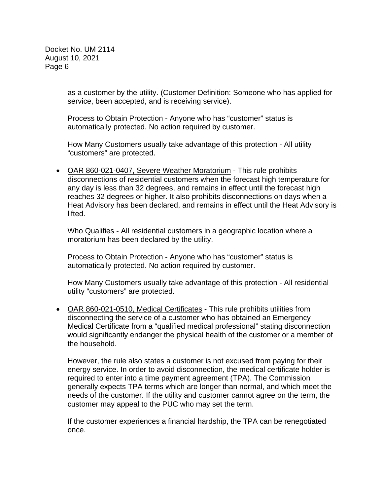> as a customer by the utility. (Customer Definition: Someone who has applied for service, been accepted, and is receiving service).

Process to Obtain Protection - Anyone who has "customer" status is automatically protected. No action required by customer.

How Many Customers usually take advantage of this protection - All utility "customers" are protected.

• OAR 860-021-0407, Severe Weather Moratorium - This rule prohibits disconnections of residential customers when the forecast high temperature for any day is less than 32 degrees, and remains in effect until the forecast high reaches 32 degrees or higher. It also prohibits disconnections on days when a Heat Advisory has been declared, and remains in effect until the Heat Advisory is lifted.

Who Qualifies - All residential customers in a geographic location where a moratorium has been declared by the utility.

Process to Obtain Protection - Anyone who has "customer" status is automatically protected. No action required by customer.

How Many Customers usually take advantage of this protection - All residential utility "customers" are protected.

• OAR 860-021-0510, Medical Certificates - This rule prohibits utilities from disconnecting the service of a customer who has obtained an Emergency Medical Certificate from a "qualified medical professional" stating disconnection would significantly endanger the physical health of the customer or a member of the household.

However, the rule also states a customer is not excused from paying for their energy service. In order to avoid disconnection, the medical certificate holder is required to enter into a time payment agreement (TPA). The Commission generally expects TPA terms which are longer than normal, and which meet the needs of the customer. If the utility and customer cannot agree on the term, the customer may appeal to the PUC who may set the term.

If the customer experiences a financial hardship, the TPA can be renegotiated once.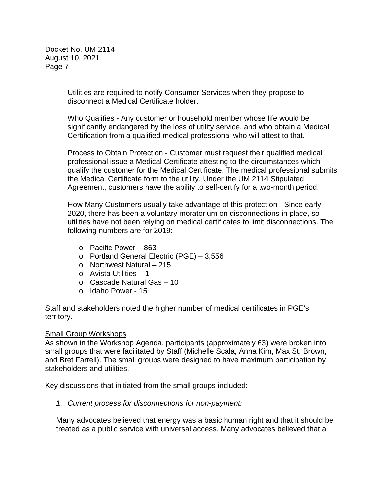> Utilities are required to notify Consumer Services when they propose to disconnect a Medical Certificate holder.

Who Qualifies - Any customer or household member whose life would be significantly endangered by the loss of utility service, and who obtain a Medical Certification from a qualified medical professional who will attest to that.

Process to Obtain Protection - Customer must request their qualified medical professional issue a Medical Certificate attesting to the circumstances which qualify the customer for the Medical Certificate. The medical professional submits the Medical Certificate form to the utility. Under the UM 2114 Stipulated Agreement, customers have the ability to self-certify for a two-month period.

How Many Customers usually take advantage of this protection - Since early 2020, there has been a voluntary moratorium on disconnections in place, so utilities have not been relying on medical certificates to limit disconnections. The following numbers are for 2019:

- o Pacific Power 863
- o Portland General Electric (PGE) 3,556
- o Northwest Natural 215
- o Avista Utilities 1
- o Cascade Natural Gas 10
- o Idaho Power 15

Staff and stakeholders noted the higher number of medical certificates in PGE's territory.

### Small Group Workshops

As shown in the Workshop Agenda, participants (approximately 63) were broken into small groups that were facilitated by Staff (Michelle Scala, Anna Kim, Max St. Brown, and Bret Farrell). The small groups were designed to have maximum participation by stakeholders and utilities.

Key discussions that initiated from the small groups included:

*1. Current process for disconnections for non-payment:*

Many advocates believed that energy was a basic human right and that it should be treated as a public service with universal access. Many advocates believed that a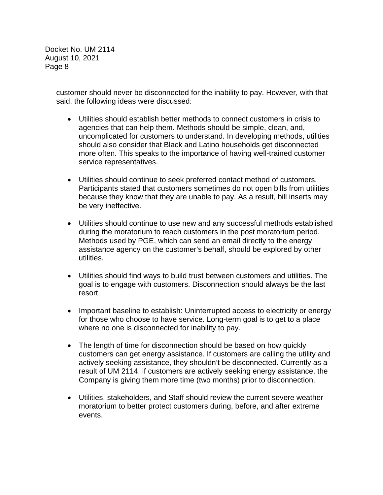> customer should never be disconnected for the inability to pay. However, with that said, the following ideas were discussed:

- Utilities should establish better methods to connect customers in crisis to agencies that can help them. Methods should be simple, clean, and, uncomplicated for customers to understand. In developing methods, utilities should also consider that Black and Latino households get disconnected more often. This speaks to the importance of having well-trained customer service representatives.
- Utilities should continue to seek preferred contact method of customers. Participants stated that customers sometimes do not open bills from utilities because they know that they are unable to pay. As a result, bill inserts may be very ineffective.
- Utilities should continue to use new and any successful methods established during the moratorium to reach customers in the post moratorium period. Methods used by PGE, which can send an email directly to the energy assistance agency on the customer's behalf, should be explored by other utilities.
- Utilities should find ways to build trust between customers and utilities. The goal is to engage with customers. Disconnection should always be the last resort.
- Important baseline to establish: Uninterrupted access to electricity or energy for those who choose to have service. Long-term goal is to get to a place where no one is disconnected for inability to pay.
- The length of time for disconnection should be based on how quickly customers can get energy assistance. If customers are calling the utility and actively seeking assistance, they shouldn't be disconnected. Currently as a result of UM 2114, if customers are actively seeking energy assistance, the Company is giving them more time (two months) prior to disconnection.
- Utilities, stakeholders, and Staff should review the current severe weather moratorium to better protect customers during, before, and after extreme events.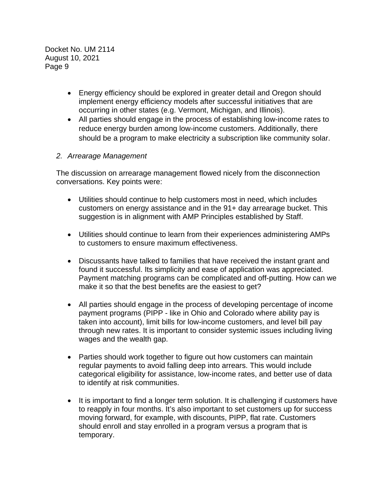- Energy efficiency should be explored in greater detail and Oregon should implement energy efficiency models after successful initiatives that are occurring in other states (e.g. Vermont, Michigan, and Illinois).
- All parties should engage in the process of establishing low-income rates to reduce energy burden among low-income customers. Additionally, there should be a program to make electricity a subscription like community solar.

# *2. Arrearage Management*

The discussion on arrearage management flowed nicely from the disconnection conversations. Key points were:

- Utilities should continue to help customers most in need, which includes customers on energy assistance and in the 91+ day arrearage bucket. This suggestion is in alignment with AMP Principles established by Staff.
- Utilities should continue to learn from their experiences administering AMPs to customers to ensure maximum effectiveness.
- Discussants have talked to families that have received the instant grant and found it successful. Its simplicity and ease of application was appreciated. Payment matching programs can be complicated and off-putting. How can we make it so that the best benefits are the easiest to get?
- All parties should engage in the process of developing percentage of income payment programs (PIPP - like in Ohio and Colorado where ability pay is taken into account), limit bills for low-income customers, and level bill pay through new rates. It is important to consider systemic issues including living wages and the wealth gap.
- Parties should work together to figure out how customers can maintain regular payments to avoid falling deep into arrears. This would include categorical eligibility for assistance, low-income rates, and better use of data to identify at risk communities.
- It is important to find a longer term solution. It is challenging if customers have to reapply in four months. It's also important to set customers up for success moving forward, for example, with discounts, PIPP, flat rate. Customers should enroll and stay enrolled in a program versus a program that is temporary.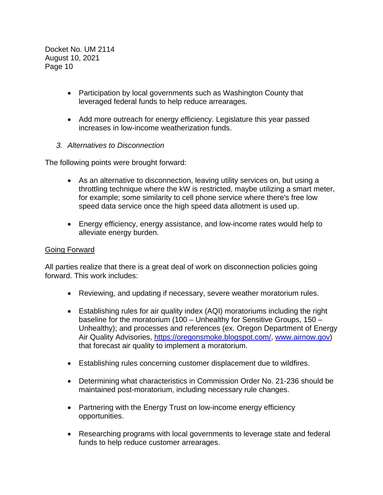- Participation by local governments such as Washington County that leveraged federal funds to help reduce arrearages.
- Add more outreach for energy efficiency. Legislature this year passed increases in low-income weatherization funds.
- *3. Alternatives to Disconnection*

The following points were brought forward:

- As an alternative to disconnection, leaving utility services on, but using a throttling technique where the kW is restricted, maybe utilizing a smart meter, for example; some similarity to cell phone service where there's free low speed data service once the high speed data allotment is used up.
- Energy efficiency, energy assistance, and low-income rates would help to alleviate energy burden.

# Going Forward

All parties realize that there is a great deal of work on disconnection policies going forward. This work includes:

- Reviewing, and updating if necessary, severe weather moratorium rules.
- Establishing rules for air quality index (AQI) moratoriums including the right baseline for the moratorium (100 – Unhealthy for Sensitive Groups, 150 – Unhealthy); and processes and references (ex. Oregon Department of Energy Air Quality Advisories, [https://oregonsmoke.blogspot.com/,](https://oregonsmoke.blogspot.com/) [www.airnow.gov\)](http://www.airnow.gov/) that forecast air quality to implement a moratorium.
- Establishing rules concerning customer displacement due to wildfires.
- Determining what characteristics in Commission Order No. 21-236 should be maintained post-moratorium, including necessary rule changes.
- Partnering with the Energy Trust on low-income energy efficiency opportunities.
- Researching programs with local governments to leverage state and federal funds to help reduce customer arrearages.